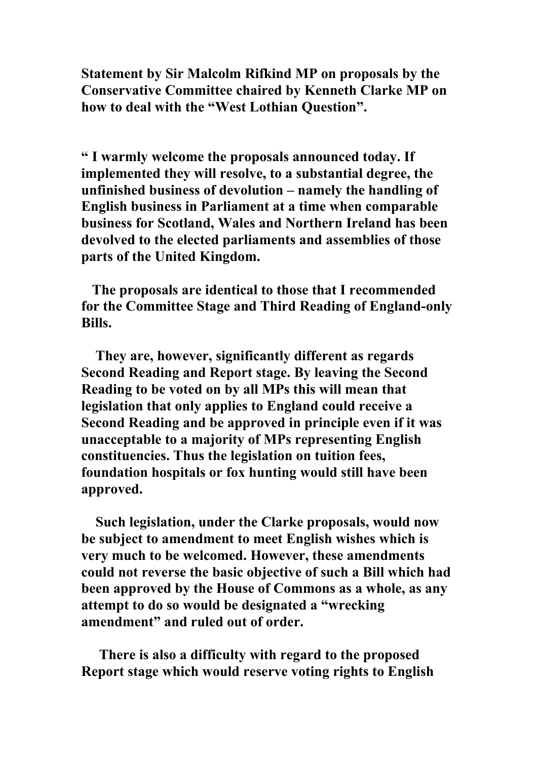Statement by Sir Malcolm Rifkind MP on proposals by the Conservative Committee chaired by Kenneth Clarke MP on how to deal with the "West Lothian Question".

" I warmly welcome the proposals announced today. If implemented they will resolve, to a substantial degree, the unfinished business of devolution – namely the handling of English business in Parliament at a time when comparable business for Scotland, Wales and Northern Ireland has been devolved to the elected parliaments and assemblies of those parts of the United Kingdom.

 The proposals are identical to those that I recommended for the Committee Stage and Third Reading of England-only Bills.

 They are, however, significantly different as regards Second Reading and Report stage. By leaving the Second Reading to be voted on by all MPs this will mean that legislation that only applies to England could receive a Second Reading and be approved in principle even if it was unacceptable to a majority of MPs representing English constituencies. Thus the legislation on tuition fees, foundation hospitals or fox hunting would still have been approved.

 Such legislation, under the Clarke proposals, would now be subject to amendment to meet English wishes which is very much to be welcomed. However, these amendments could not reverse the basic objective of such a Bill which had been approved by the House of Commons as a whole, as any attempt to do so would be designated a "wrecking amendment" and ruled out of order.

 There is also a difficulty with regard to the proposed Report stage which would reserve voting rights to English